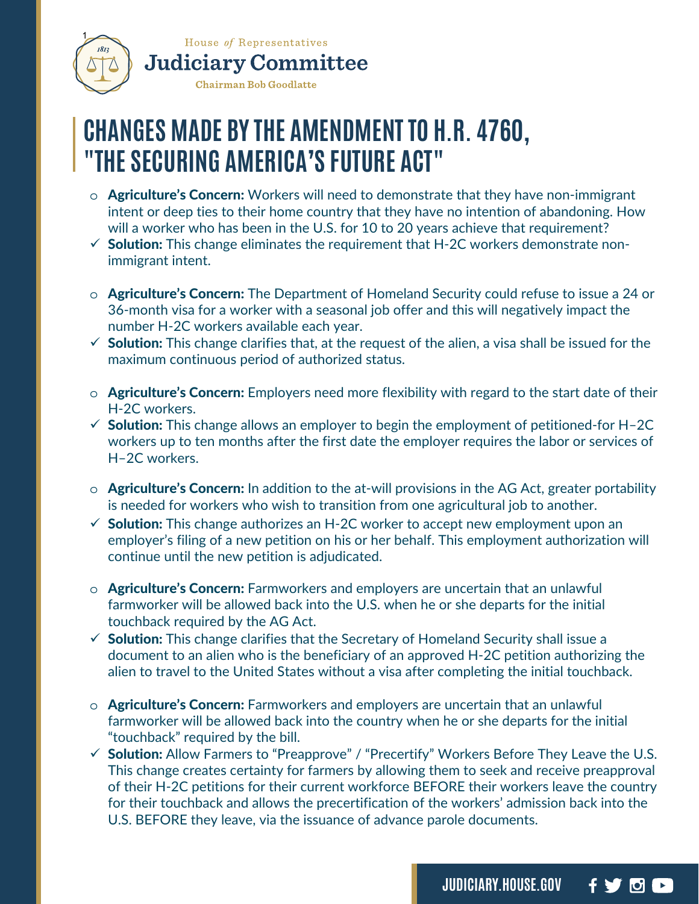

## **CHANGES MADE BY THE AMENDMENT TO H.R. 4760, "THE SECURING AMERICA'S FUTURE ACT"**

- o Agriculture's Concern: Workers will need to demonstrate that they have non-immigrant intent or deep ties to their home country that they have no intention of abandoning. How will a worker who has been in the U.S. for 10 to 20 years achieve that requirement?
- $\checkmark$  Solution: This change eliminates the requirement that H-2C workers demonstrate nonimmigrant intent.
- $\circ$  **Agriculture's Concern:** The Department of Homeland Security could refuse to issue a 24 or 36-month visa for a worker with a seasonal job offer and this will negatively impact the number H-2C workers available each year.
- $\checkmark$  Solution: This change clarifies that, at the request of the alien, a visa shall be issued for the maximum continuous period of authorized status.
- $\circ$  **Agriculture's Concern:** Employers need more flexibility with regard to the start date of their H-2C workers.
- $\checkmark$  Solution: This change allows an employer to begin the employment of petitioned-for H-2C workers up to ten months after the first date the employer requires the labor or services of H–2C workers.
- $\circ$  Agriculture's Concern: In addition to the at-will provisions in the AG Act, greater portability is needed for workers who wish to transition from one agricultural job to another.
- $\checkmark$  Solution: This change authorizes an H-2C worker to accept new employment upon an employer's filing of a new petition on his or her behalf. This employment authorization will continue until the new petition is adjudicated.
- $\circ$  **Agriculture's Concern:** Farmworkers and employers are uncertain that an unlawful farmworker will be allowed back into the U.S. when he or she departs for the initial touchback required by the AG Act.
- $\checkmark$  Solution: This change clarifies that the Secretary of Homeland Security shall issue a document to an alien who is the beneficiary of an approved H-2C petition authorizing the alien to travel to the United States without a visa after completing the initial touchback.
- $\circ$  **Agriculture's Concern:** Farmworkers and employers are uncertain that an unlawful farmworker will be allowed back into the country when he or she departs for the initial "touchback" required by the bill.
- $\checkmark$  Solution: Allow Farmers to "Preapprove" / "Precertify" Workers Before They Leave the U.S. This change creates certainty for farmers by allowing them to seek and receive preapproval of their H-2C petitions for their current workforce BEFORE their workers leave the country for their touchback and allows the precertification of the workers' admission back into the U.S. BEFORE they leave, via the issuance of advance parole documents.